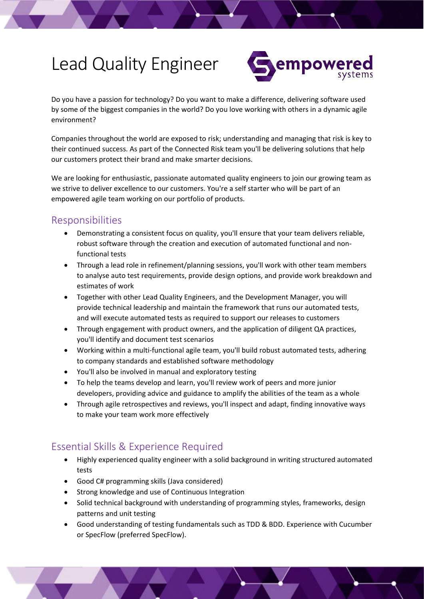# Lead Quality Engineer



Do you have a passion for technology? Do you want to make a difference, delivering software used by some of the biggest companies in the world? Do you love working with others in a dynamic agile environment?

Companies throughout the world are exposed to risk; understanding and managing that risk is key to their continued success. As part of the Connected Risk team you'll be delivering solutions that help our customers protect their brand and make smarter decisions.

We are looking for enthusiastic, passionate automated quality engineers to join our growing team as we strive to deliver excellence to our customers. You're a self starter who will be part of an empowered agile team working on our portfolio of products.

### Responsibilities

- Demonstrating a consistent focus on quality, you'll ensure that your team delivers reliable, robust software through the creation and execution of automated functional and nonfunctional tests
- Through a lead role in refinement/planning sessions, you'll work with other team members to analyse auto test requirements, provide design options, and provide work breakdown and estimates of work
- Together with other Lead Quality Engineers, and the Development Manager, you will provide technical leadership and maintain the framework that runs our automated tests, and will execute automated tests as required to support our releases to customers
- Through engagement with product owners, and the application of diligent QA practices, you'll identify and document test scenarios
- Working within a multi-functional agile team, you'll build robust automated tests, adhering to company standards and established software methodology
- You'll also be involved in manual and exploratory testing
- To help the teams develop and learn, you'll review work of peers and more junior developers, providing advice and guidance to amplify the abilities of the team as a whole
- Through agile retrospectives and reviews, you'll inspect and adapt, finding innovative ways to make your team work more effectively

#### Essential Skills & Experience Required

- Highly experienced quality engineer with a solid background in writing structured automated tests
- Good C# programming skills (Java considered)
- Strong knowledge and use of Continuous Integration
- Solid technical background with understanding of programming styles, frameworks, design patterns and unit testing
- Good understanding of testing fundamentals such as TDD & BDD. Experience with Cucumber or SpecFlow (preferred SpecFlow).